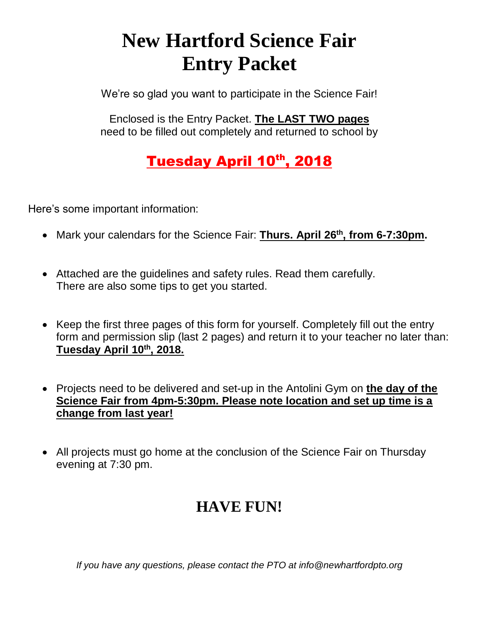# **New Hartford Science Fair Entry Packet**

We're so glad you want to participate in the Science Fair!

Enclosed is the Entry Packet. **The LAST TWO pages** need to be filled out completely and returned to school by

### Tuesday April 10th, 2018

Here's some important information:

- Mark your calendars for the Science Fair: **Thurs. April 26th, from 6-7:30pm.**
- Attached are the guidelines and safety rules. Read them carefully. There are also some tips to get you started.
- Keep the first three pages of this form for yourself. Completely fill out the entry form and permission slip (last 2 pages) and return it to your teacher no later than: **Tuesday April 10th, 2018.**
- Projects need to be delivered and set-up in the Antolini Gym on **the day of the Science Fair from 4pm-5:30pm. Please note location and set up time is a change from last year!**
- All projects must go home at the conclusion of the Science Fair on Thursday evening at 7:30 pm.

### **HAVE FUN!**

*If you have any questions, please contact the PTO at info@newhartfordpto.org*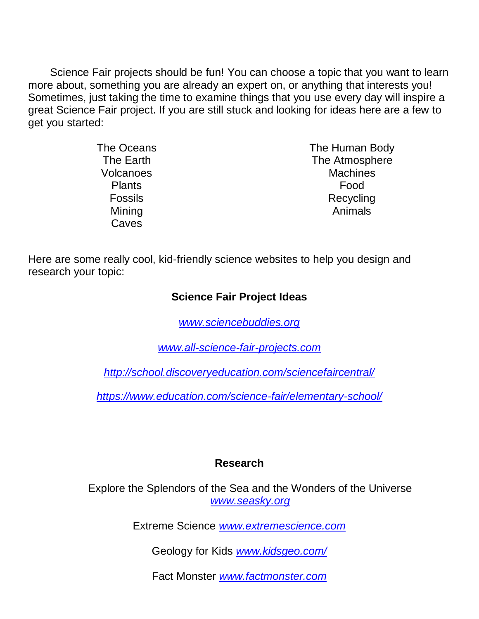Science Fair projects should be fun! You can choose a topic that you want to learn more about, something you are already an expert on, or anything that interests you! Sometimes, just taking the time to examine things that you use every day will inspire a great Science Fair project. If you are still stuck and looking for ideas here are a few to get you started:

| The Oceans       | The Human Body  |
|------------------|-----------------|
| The Earth        | The Atmosphere  |
| <b>Volcanoes</b> | <b>Machines</b> |
| <b>Plants</b>    | Food            |
| <b>Fossils</b>   | Recycling       |
| Mining           | Animals         |
| Caves            |                 |

Here are some really cool, kid-friendly science websites to help you design and research your topic:

#### **Science Fair Project Ideas**

*[www.sciencebuddies.org](http://www.sciencebuddies.org/)*

*[www.all-science-fair-projects.com](http://www.all-science-fair-projects.com/)*

*<http://school.discoveryeducation.com/sciencefaircentral/>*

*https://www.education.com/science-fair/elementary-school/*

#### **Research**

Explore the Splendors of the Sea and the Wonders of the Universe *[www.seasky.org](http://www.seasky.org/)*

Extreme Science *[www.extremescience.com](http://www.extremescience.com/)*

Geology for Kids *[www.kidsgeo.com/](http://www.kidsgeo.com/)*

Fact Monster *[www.factmonster.com](http://www.factmonster.com/)*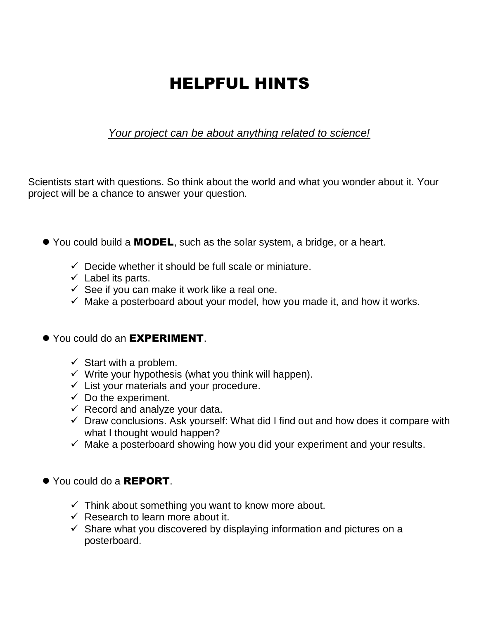## HELPFUL HINTS

#### *Your project can be about anything related to science!*

Scientists start with questions. So think about the world and what you wonder about it. Your project will be a chance to answer your question.

- You could build a **MODEL**, such as the solar system, a bridge, or a heart.
	- $\checkmark$  Decide whether it should be full scale or miniature.
	- $\checkmark$  Label its parts.
	- $\checkmark$  See if you can make it work like a real one.
	- $\checkmark$  Make a posterboard about your model, how you made it, and how it works.

#### ● You could do an **EXPERIMENT**.

- $\checkmark$  Start with a problem.
- $\checkmark$  Write your hypothesis (what you think will happen).
- $\checkmark$  List your materials and your procedure.
- $\checkmark$  Do the experiment.
- $\checkmark$  Record and analyze your data.
- $\checkmark$  Draw conclusions. Ask yourself: What did I find out and how does it compare with what I thought would happen?
- $\checkmark$  Make a posterboard showing how you did your experiment and your results.
- ⚫ You could do a REPORT.
	- $\checkmark$  Think about something you want to know more about.
	- $\checkmark$  Research to learn more about it.
	- $\checkmark$  Share what you discovered by displaying information and pictures on a posterboard.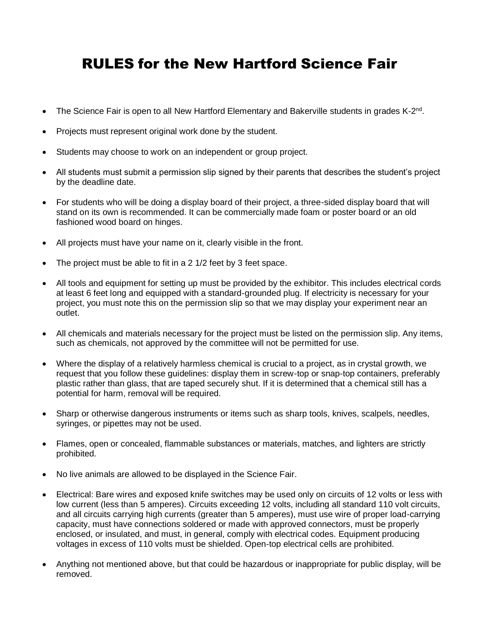### RULES for the New Hartford Science Fair

- The Science Fair is open to all New Hartford Elementary and Bakerville students in grades K-2<sup>nd</sup>.
- Projects must represent original work done by the student.
- Students may choose to work on an independent or group project.
- All students must submit a permission slip signed by their parents that describes the student's project by the deadline date.
- For students who will be doing a display board of their project, a three-sided display board that will stand on its own is recommended. It can be commercially made foam or poster board or an old fashioned wood board on hinges.
- All projects must have your name on it, clearly visible in the front.
- The project must be able to fit in a 2 1/2 feet by 3 feet space.
- All tools and equipment for setting up must be provided by the exhibitor. This includes electrical cords at least 6 feet long and equipped with a standard-grounded plug. If electricity is necessary for your project, you must note this on the permission slip so that we may display your experiment near an outlet.
- All chemicals and materials necessary for the project must be listed on the permission slip. Any items, such as chemicals, not approved by the committee will not be permitted for use.
- Where the display of a relatively harmless chemical is crucial to a project, as in crystal growth, we request that you follow these guidelines: display them in screw-top or snap-top containers, preferably plastic rather than glass, that are taped securely shut. If it is determined that a chemical still has a potential for harm, removal will be required.
- Sharp or otherwise dangerous instruments or items such as sharp tools, knives, scalpels, needles, syringes, or pipettes may not be used.
- Flames, open or concealed, flammable substances or materials, matches, and lighters are strictly prohibited.
- No live animals are allowed to be displayed in the Science Fair.
- Electrical: Bare wires and exposed knife switches may be used only on circuits of 12 volts or less with low current (less than 5 amperes). Circuits exceeding 12 volts, including all standard 110 volt circuits, and all circuits carrying high currents (greater than 5 amperes), must use wire of proper load-carrying capacity, must have connections soldered or made with approved connectors, must be properly enclosed, or insulated, and must, in general, comply with electrical codes. Equipment producing voltages in excess of 110 volts must be shielded. Open-top electrical cells are prohibited.
- Anything not mentioned above, but that could be hazardous or inappropriate for public display, will be removed.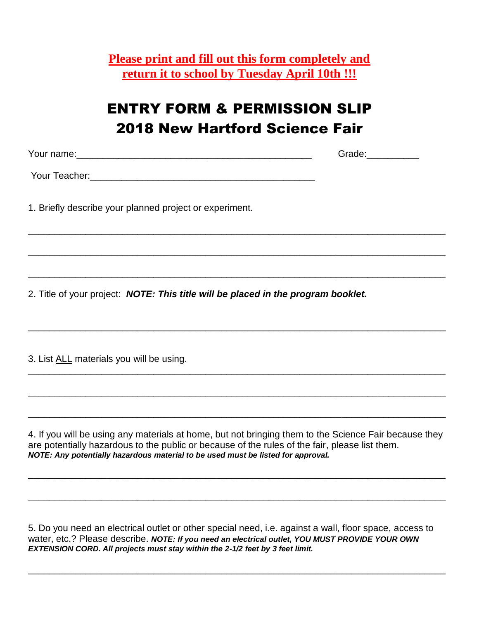**Please print and fill out this form completely and return it to school by Tuesday April 10th !!!**

### ENTRY FORM & PERMISSION SLIP 2018 New Hartford Science Fair

\_\_\_\_\_\_\_\_\_\_\_\_\_\_\_\_\_\_\_\_\_\_\_\_\_\_\_\_\_\_\_\_\_\_\_\_\_\_\_\_\_\_\_\_\_\_\_\_\_\_\_\_\_\_\_\_\_\_\_\_\_\_\_\_\_\_\_\_\_\_\_\_\_\_\_\_\_\_\_\_

\_\_\_\_\_\_\_\_\_\_\_\_\_\_\_\_\_\_\_\_\_\_\_\_\_\_\_\_\_\_\_\_\_\_\_\_\_\_\_\_\_\_\_\_\_\_\_\_\_\_\_\_\_\_\_\_\_\_\_\_\_\_\_\_\_\_\_\_\_\_\_\_\_\_\_\_\_\_\_\_

\_\_\_\_\_\_\_\_\_\_\_\_\_\_\_\_\_\_\_\_\_\_\_\_\_\_\_\_\_\_\_\_\_\_\_\_\_\_\_\_\_\_\_\_\_\_\_\_\_\_\_\_\_\_\_\_\_\_\_\_\_\_\_\_\_\_\_\_\_\_\_\_\_\_\_\_\_\_\_\_

\_\_\_\_\_\_\_\_\_\_\_\_\_\_\_\_\_\_\_\_\_\_\_\_\_\_\_\_\_\_\_\_\_\_\_\_\_\_\_\_\_\_\_\_\_\_\_\_\_\_\_\_\_\_\_\_\_\_\_\_\_\_\_\_\_\_\_\_\_\_\_\_\_\_\_\_\_\_\_\_

\_\_\_\_\_\_\_\_\_\_\_\_\_\_\_\_\_\_\_\_\_\_\_\_\_\_\_\_\_\_\_\_\_\_\_\_\_\_\_\_\_\_\_\_\_\_\_\_\_\_\_\_\_\_\_\_\_\_\_\_\_\_\_\_\_\_\_\_\_\_\_\_\_\_\_\_\_\_\_\_

\_\_\_\_\_\_\_\_\_\_\_\_\_\_\_\_\_\_\_\_\_\_\_\_\_\_\_\_\_\_\_\_\_\_\_\_\_\_\_\_\_\_\_\_\_\_\_\_\_\_\_\_\_\_\_\_\_\_\_\_\_\_\_\_\_\_\_\_\_\_\_\_\_\_\_\_\_\_\_\_

\_\_\_\_\_\_\_\_\_\_\_\_\_\_\_\_\_\_\_\_\_\_\_\_\_\_\_\_\_\_\_\_\_\_\_\_\_\_\_\_\_\_\_\_\_\_\_\_\_\_\_\_\_\_\_\_\_\_\_\_\_\_\_\_\_\_\_\_\_\_\_\_\_\_\_\_\_\_\_\_

Your name:\_\_\_\_\_\_\_\_\_\_\_\_\_\_\_\_\_\_\_\_\_\_\_\_\_\_\_\_\_\_\_\_\_\_\_\_\_\_\_\_\_\_\_\_\_ Grade:\_\_\_\_\_\_\_\_\_\_

Your Teacher:\_\_\_\_\_\_\_\_\_\_\_\_\_\_\_\_\_\_\_\_\_\_\_\_\_\_\_\_\_\_\_\_\_\_\_\_\_\_\_\_\_\_\_

1. Briefly describe your planned project or experiment.

2. Title of your project: *NOTE: This title will be placed in the program booklet.*

3. List ALL materials you will be using.

4. If you will be using any materials at home, but not bringing them to the Science Fair because they are potentially hazardous to the public or because of the rules of the fair, please list them. *NOTE: Any potentially hazardous material to be used must be listed for approval.* 

\_\_\_\_\_\_\_\_\_\_\_\_\_\_\_\_\_\_\_\_\_\_\_\_\_\_\_\_\_\_\_\_\_\_\_\_\_\_\_\_\_\_\_\_\_\_\_\_\_\_\_\_\_\_\_\_\_\_\_\_\_\_\_\_\_\_\_\_\_\_\_\_\_\_\_\_\_\_\_\_

\_\_\_\_\_\_\_\_\_\_\_\_\_\_\_\_\_\_\_\_\_\_\_\_\_\_\_\_\_\_\_\_\_\_\_\_\_\_\_\_\_\_\_\_\_\_\_\_\_\_\_\_\_\_\_\_\_\_\_\_\_\_\_\_\_\_\_\_\_\_\_\_\_\_\_\_\_\_\_\_

5. Do you need an electrical outlet or other special need, i.e. against a wall, floor space, access to water, etc.? Please describe. *NOTE: If you need an electrical outlet, YOU MUST PROVIDE YOUR OWN EXTENSION CORD. All projects must stay within the 2-1/2 feet by 3 feet limit.*

\_\_\_\_\_\_\_\_\_\_\_\_\_\_\_\_\_\_\_\_\_\_\_\_\_\_\_\_\_\_\_\_\_\_\_\_\_\_\_\_\_\_\_\_\_\_\_\_\_\_\_\_\_\_\_\_\_\_\_\_\_\_\_\_\_\_\_\_\_\_\_\_\_\_\_\_\_\_\_\_